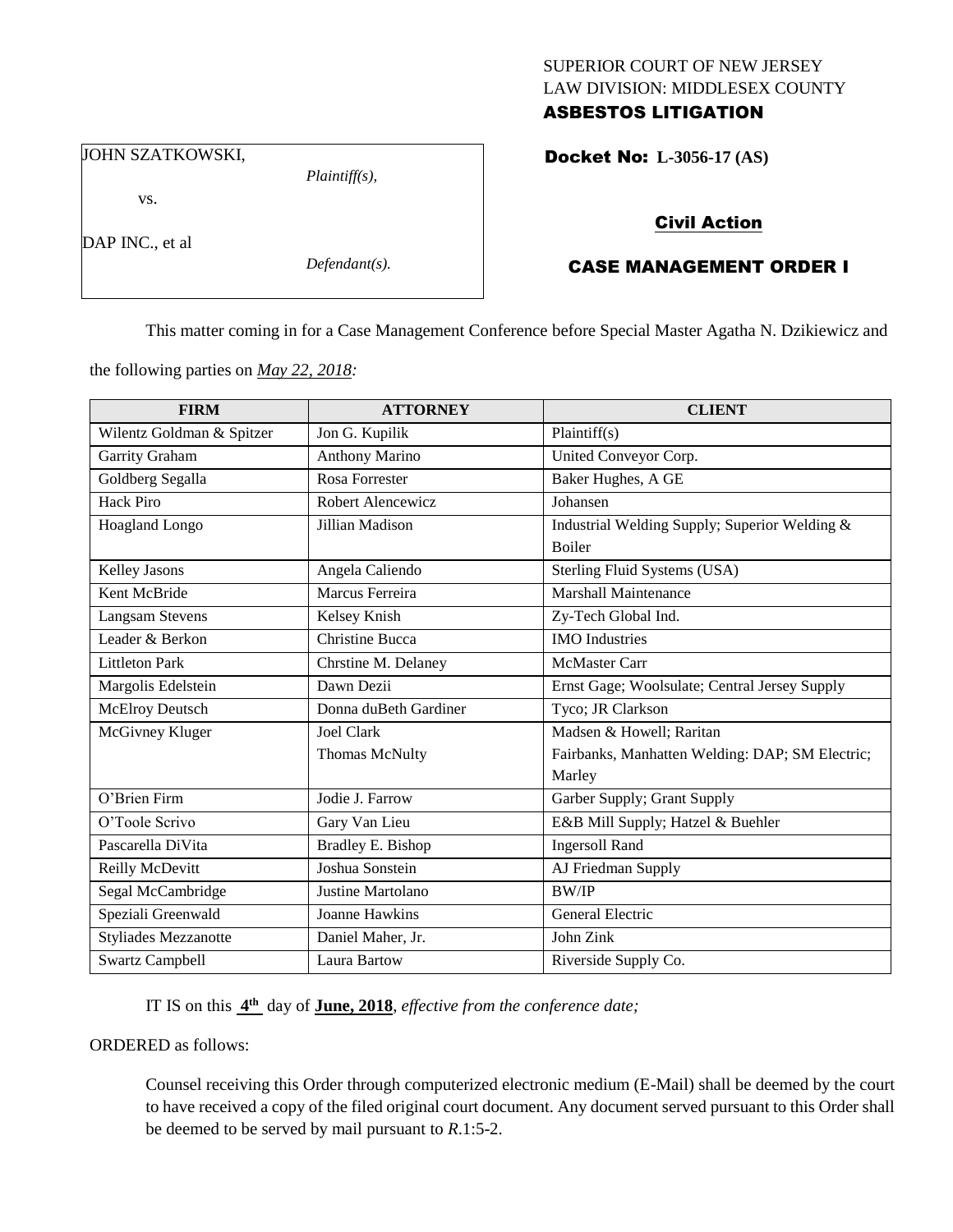### SUPERIOR COURT OF NEW JERSEY LAW DIVISION: MIDDLESEX COUNTY ASBESTOS LITIGATION

JOHN SZATKOWSKI,

vs.

DAP INC., et al

*Defendant(s).*

*Plaintiff(s),*

Docket No: **L-3056-17 (AS)** 

# Civil Action

# CASE MANAGEMENT ORDER I

This matter coming in for a Case Management Conference before Special Master Agatha N. Dzikiewicz and

the following parties on *May 22, 2018:*

| <b>FIRM</b>                 | <b>ATTORNEY</b>        | <b>CLIENT</b>                                   |
|-----------------------------|------------------------|-------------------------------------------------|
| Wilentz Goldman & Spitzer   | Jon G. Kupilik         | Plaintiff(s)                                    |
| Garrity Graham              | <b>Anthony Marino</b>  | United Conveyor Corp.                           |
| Goldberg Segalla            | <b>Rosa Forrester</b>  | Baker Hughes, A GE                              |
| <b>Hack Piro</b>            | Robert Alencewicz      | Johansen                                        |
| Hoagland Longo              | Jillian Madison        | Industrial Welding Supply; Superior Welding &   |
|                             |                        | <b>Boiler</b>                                   |
| Kelley Jasons               | Angela Caliendo        | Sterling Fluid Systems (USA)                    |
| Kent McBride                | Marcus Ferreira        | <b>Marshall Maintenance</b>                     |
| <b>Langsam Stevens</b>      | Kelsey Knish           | Zy-Tech Global Ind.                             |
| Leader & Berkon             | <b>Christine Bucca</b> | <b>IMO</b> Industries                           |
| <b>Littleton Park</b>       | Chrstine M. Delaney    | <b>McMaster Carr</b>                            |
| Margolis Edelstein          | Dawn Dezii             | Ernst Gage; Woolsulate; Central Jersey Supply   |
| McElroy Deutsch             | Donna duBeth Gardiner  | Tyco; JR Clarkson                               |
| McGivney Kluger             | <b>Joel Clark</b>      | Madsen & Howell; Raritan                        |
|                             | <b>Thomas McNulty</b>  | Fairbanks, Manhatten Welding: DAP; SM Electric; |
|                             |                        | Marley                                          |
| O'Brien Firm                | Jodie J. Farrow        | Garber Supply; Grant Supply                     |
| O'Toole Scrivo              | Gary Van Lieu          | E&B Mill Supply; Hatzel & Buehler               |
| Pascarella DiVita           | Bradley E. Bishop      | <b>Ingersoll Rand</b>                           |
| Reilly McDevitt             | Joshua Sonstein        | AJ Friedman Supply                              |
| Segal McCambridge           | Justine Martolano      | <b>BW/IP</b>                                    |
| Speziali Greenwald          | <b>Joanne Hawkins</b>  | General Electric                                |
| <b>Styliades Mezzanotte</b> | Daniel Maher, Jr.      | John Zink                                       |
| <b>Swartz Campbell</b>      | Laura Bartow           | Riverside Supply Co.                            |

IT IS on this **4 th** day of **June, 2018**, *effective from the conference date;*

ORDERED as follows:

Counsel receiving this Order through computerized electronic medium (E-Mail) shall be deemed by the court to have received a copy of the filed original court document. Any document served pursuant to this Order shall be deemed to be served by mail pursuant to *R*.1:5-2.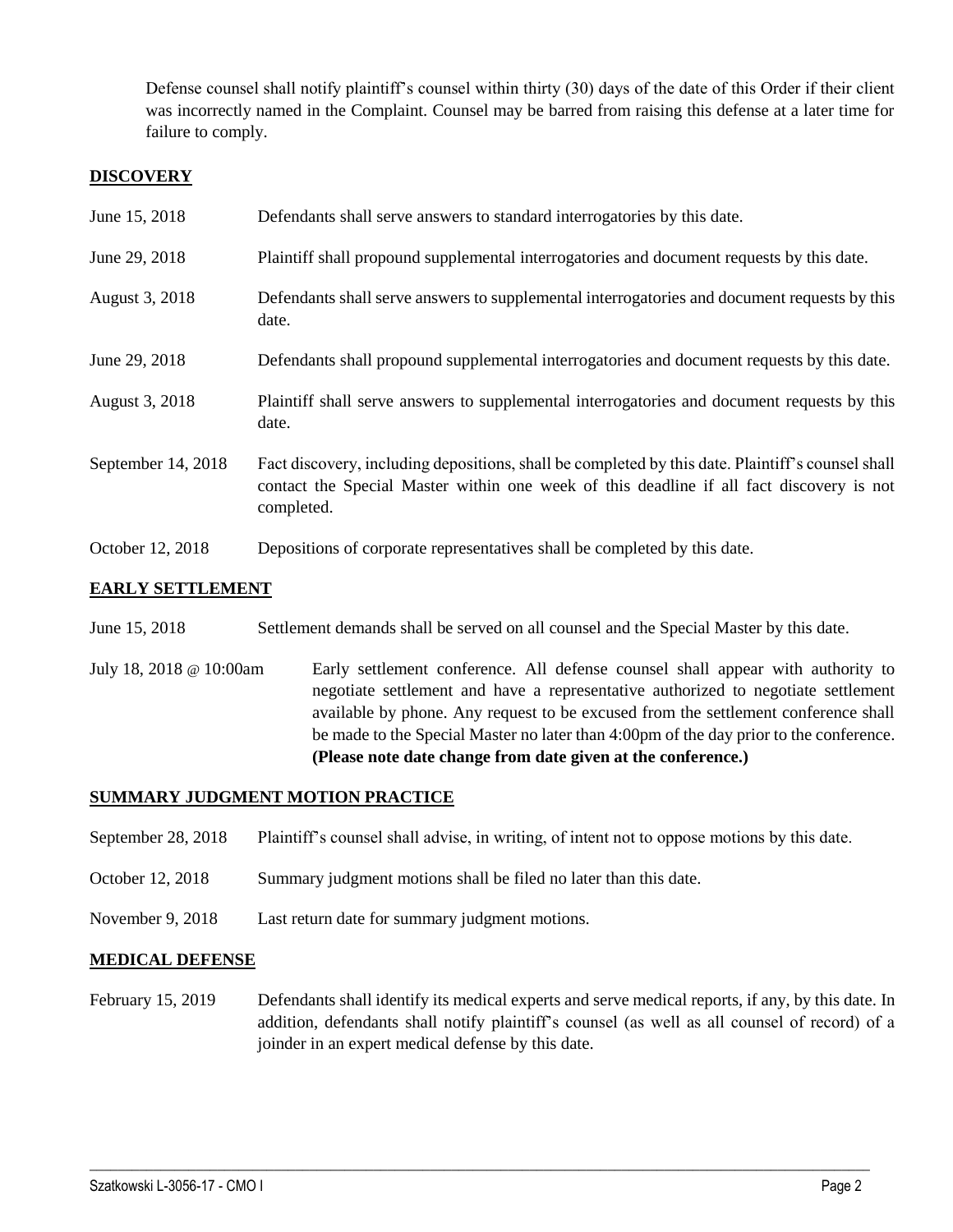Defense counsel shall notify plaintiff's counsel within thirty (30) days of the date of this Order if their client was incorrectly named in the Complaint. Counsel may be barred from raising this defense at a later time for failure to comply.

### **DISCOVERY**

| June 15, 2018      | Defendants shall serve answers to standard interrogatories by this date.                                                                                                                                    |
|--------------------|-------------------------------------------------------------------------------------------------------------------------------------------------------------------------------------------------------------|
| June 29, 2018      | Plaintiff shall propound supplemental interrogatories and document requests by this date.                                                                                                                   |
| August 3, 2018     | Defendants shall serve answers to supplemental interrogatories and document requests by this<br>date.                                                                                                       |
| June 29, 2018      | Defendants shall propound supplemental interrogatories and document requests by this date.                                                                                                                  |
| August 3, 2018     | Plaintiff shall serve answers to supplemental interrogatories and document requests by this<br>date.                                                                                                        |
| September 14, 2018 | Fact discovery, including depositions, shall be completed by this date. Plaintiff's counsel shall<br>contact the Special Master within one week of this deadline if all fact discovery is not<br>completed. |
| October 12, 2018   | Depositions of corporate representatives shall be completed by this date.                                                                                                                                   |

## **EARLY SETTLEMENT**

- June 15, 2018 Settlement demands shall be served on all counsel and the Special Master by this date.
- July 18, 2018 @ 10:00am Early settlement conference. All defense counsel shall appear with authority to negotiate settlement and have a representative authorized to negotiate settlement available by phone. Any request to be excused from the settlement conference shall be made to the Special Master no later than 4:00pm of the day prior to the conference. **(Please note date change from date given at the conference.)**

### **SUMMARY JUDGMENT MOTION PRACTICE**

- September 28, 2018 Plaintiff's counsel shall advise, in writing, of intent not to oppose motions by this date.
- October 12, 2018 Summary judgment motions shall be filed no later than this date.
- November 9, 2018 Last return date for summary judgment motions.

### **MEDICAL DEFENSE**

February 15, 2019 Defendants shall identify its medical experts and serve medical reports, if any, by this date. In addition, defendants shall notify plaintiff's counsel (as well as all counsel of record) of a joinder in an expert medical defense by this date.

 $\_$  ,  $\_$  ,  $\_$  ,  $\_$  ,  $\_$  ,  $\_$  ,  $\_$  ,  $\_$  ,  $\_$  ,  $\_$  ,  $\_$  ,  $\_$  ,  $\_$  ,  $\_$  ,  $\_$  ,  $\_$  ,  $\_$  ,  $\_$  ,  $\_$  ,  $\_$  ,  $\_$  ,  $\_$  ,  $\_$  ,  $\_$  ,  $\_$  ,  $\_$  ,  $\_$  ,  $\_$  ,  $\_$  ,  $\_$  ,  $\_$  ,  $\_$  ,  $\_$  ,  $\_$  ,  $\_$  ,  $\_$  ,  $\_$  ,